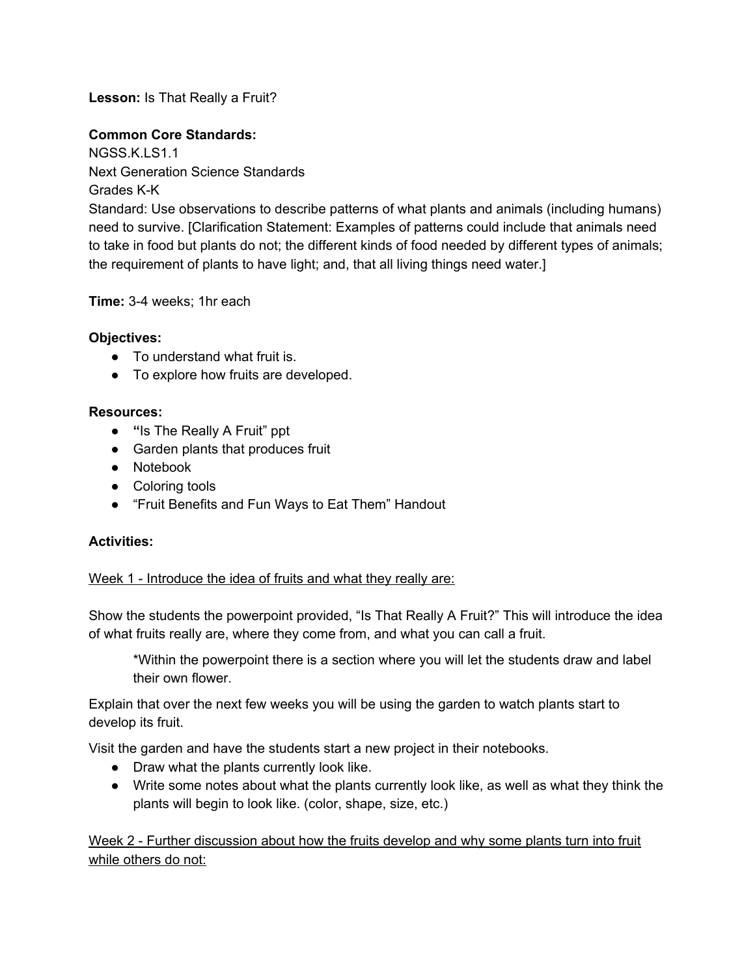**Lesson:** Is That Really a Fruit?

# **Common Core Standards:**

NGSS.K.LS1.1 Next Generation Science Standards Grades K-K Standard: Use observations to describe patterns of what plants and animals (including humans) need to survive. [Clarification Statement: Examples of patterns could include that animals need to take in food but plants do not; the different kinds of food needed by different types of animals; the requirement of plants to have light; and, that all living things need water.]

### **Time:**34 weeks; 1hr each

## **Objectives:**

- To understand what fruit is.
- To explore how fruits are developed.

### **Resources:**

- **"**Is The Really A Fruit" ppt
- Garden plants that produces fruit
- Notebook
- Coloring tools
- "Fruit Benefits and Fun Ways to Eat Them" Handout

## **Activities:**

## Week 1 - Introduce the idea of fruits and what they really are:

Show the students the powerpoint provided, "Is That Really A Fruit?" This will introduce the idea of what fruits really are, where they come from, and what you can call a fruit.

\*Within the powerpoint there is a section where you will let the students draw and label their own flower.

Explain that over the next few weeks you will be using the garden to watch plants start to develop its fruit.

Visit the garden and have the students start a new project in their notebooks.

- Draw what the plants currently look like.
- Write some notes about what the plants currently look like, as well as what they think the plants will begin to look like. (color, shape, size, etc.)

Week 2 - Further discussion about how the fruits develop and why some plants turn into fruit while others do not: